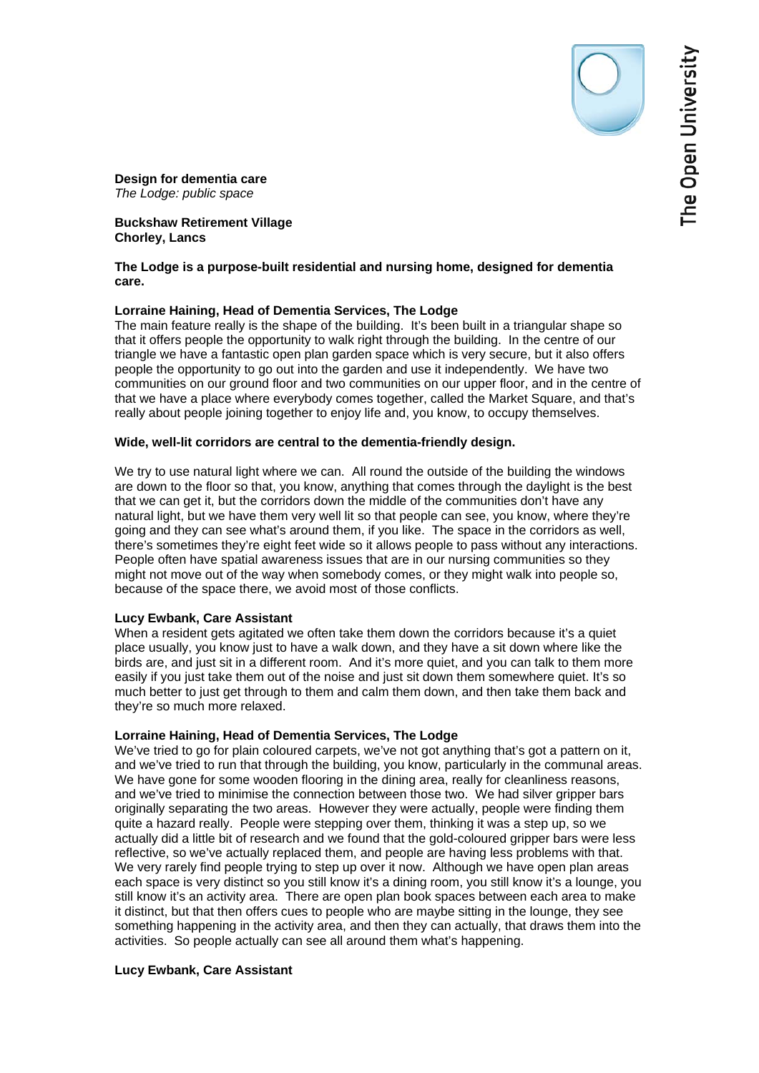The Open University

# **Buckshaw Retirement Village Chorley, Lancs**

### **The Lodge is a purpose-built residential and nursing home, designed for dementia care.**

# **Lorraine Haining, Head of Dementia Services, The Lodge**

The main feature really is the shape of the building. It's been built in a triangular shape so that it offers people the opportunity to walk right through the building. In the centre of our triangle we have a fantastic open plan garden space which is very secure, but it also offers people the opportunity to go out into the garden and use it independently. We have two communities on our ground floor and two communities on our upper floor, and in the centre of that we have a place where everybody comes together, called the Market Square, and that's really about people joining together to enjoy life and, you know, to occupy themselves.

#### **Wide, well-lit corridors are central to the dementia-friendly design.**

We try to use natural light where we can. All round the outside of the building the windows are down to the floor so that, you know, anything that comes through the daylight is the best that we can get it, but the corridors down the middle of the communities don't have any natural light, but we have them very well lit so that people can see, you know, where they're going and they can see what's around them, if you like. The space in the corridors as well, there's sometimes they're eight feet wide so it allows people to pass without any interactions. People often have spatial awareness issues that are in our nursing communities so they might not move out of the way when somebody comes, or they might walk into people so, because of the space there, we avoid most of those conflicts.

# **Lucy Ewbank, Care Assistant**

When a resident gets agitated we often take them down the corridors because it's a quiet place usually, you know just to have a walk down, and they have a sit down where like the birds are, and just sit in a different room. And it's more quiet, and you can talk to them more easily if you just take them out of the noise and just sit down them somewhere quiet. It's so much better to just get through to them and calm them down, and then take them back and they're so much more relaxed.

# **Lorraine Haining, Head of Dementia Services, The Lodge**

We've tried to go for plain coloured carpets, we've not got anything that's got a pattern on it, and we've tried to run that through the building, you know, particularly in the communal areas. We have gone for some wooden flooring in the dining area, really for cleanliness reasons, and we've tried to minimise the connection between those two. We had silver gripper bars originally separating the two areas. However they were actually, people were finding them quite a hazard really. People were stepping over them, thinking it was a step up, so we actually did a little bit of research and we found that the gold-coloured gripper bars were less reflective, so we've actually replaced them, and people are having less problems with that. We very rarely find people trying to step up over it now. Although we have open plan areas each space is very distinct so you still know it's a dining room, you still know it's a lounge, you still know it's an activity area. There are open plan book spaces between each area to make it distinct, but that then offers cues to people who are maybe sitting in the lounge, they see something happening in the activity area, and then they can actually, that draws them into the activities. So people actually can see all around them what's happening.

# **Lucy Ewbank, Care Assistant**